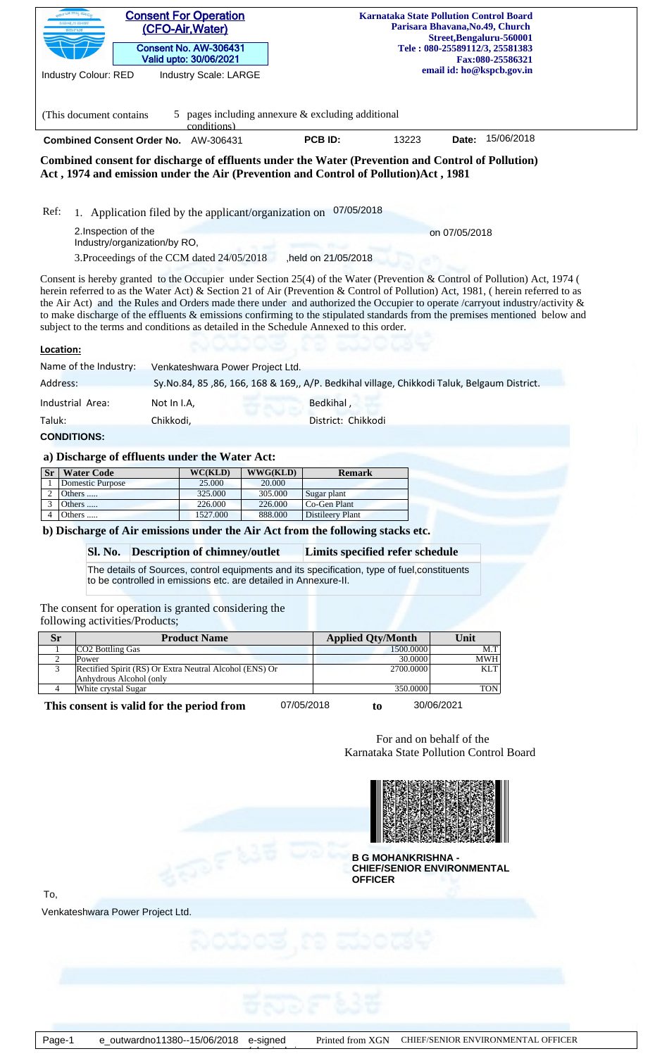|                     |                                                                                                                                                                 | <b>Consent For Operation</b>                    |                    |                                                                                             | <b>Karnataka State Pollution Control Board</b><br>Parisara Bhavana, No.49, Church |                                |                                                                                                                             |  |  |  |
|---------------------|-----------------------------------------------------------------------------------------------------------------------------------------------------------------|-------------------------------------------------|--------------------|---------------------------------------------------------------------------------------------|-----------------------------------------------------------------------------------|--------------------------------|-----------------------------------------------------------------------------------------------------------------------------|--|--|--|
|                     |                                                                                                                                                                 | (CFO-Air, Water)                                |                    |                                                                                             |                                                                                   | Street, Bengaluru-560001       |                                                                                                                             |  |  |  |
|                     |                                                                                                                                                                 | Consent No. AW-306431<br>Valid upto: 30/06/2021 |                    |                                                                                             |                                                                                   | Tele: 080-25589112/3, 25581383 | Fax:080-25586321                                                                                                            |  |  |  |
|                     | <b>Industry Colour: RED</b>                                                                                                                                     | Industry Scale: LARGE                           |                    |                                                                                             |                                                                                   | email id: ho@kspcb.gov.in      |                                                                                                                             |  |  |  |
|                     |                                                                                                                                                                 |                                                 |                    |                                                                                             |                                                                                   |                                |                                                                                                                             |  |  |  |
|                     |                                                                                                                                                                 |                                                 |                    |                                                                                             |                                                                                   |                                |                                                                                                                             |  |  |  |
|                     | 5 pages including annexure $&$ excluding additional<br>(This document contains)<br>conditions)                                                                  |                                                 |                    |                                                                                             |                                                                                   |                                |                                                                                                                             |  |  |  |
|                     | 15/06/2018<br>PCB ID:<br>13223<br>Combined Consent Order No. AW-306431<br>Date:                                                                                 |                                                 |                    |                                                                                             |                                                                                   |                                |                                                                                                                             |  |  |  |
|                     | Combined consent for discharge of effluents under the Water (Prevention and Control of Pollution)                                                               |                                                 |                    |                                                                                             |                                                                                   |                                |                                                                                                                             |  |  |  |
|                     | Act, 1974 and emission under the Air (Prevention and Control of Pollution)Act, 1981                                                                             |                                                 |                    |                                                                                             |                                                                                   |                                |                                                                                                                             |  |  |  |
|                     |                                                                                                                                                                 |                                                 |                    |                                                                                             |                                                                                   |                                |                                                                                                                             |  |  |  |
| Ref:                | 1. Application filed by the applicant/organization on                                                                                                           |                                                 |                    | 07/05/2018                                                                                  |                                                                                   |                                |                                                                                                                             |  |  |  |
|                     | 2. Inspection of the                                                                                                                                            |                                                 |                    |                                                                                             |                                                                                   | on 07/05/2018                  |                                                                                                                             |  |  |  |
|                     | Industry/organization/by RO,                                                                                                                                    |                                                 |                    |                                                                                             |                                                                                   |                                |                                                                                                                             |  |  |  |
|                     | 3. Proceedings of the CCM dated 24/05/2018                                                                                                                      |                                                 |                    | ,held on 21/05/2018                                                                         |                                                                                   |                                |                                                                                                                             |  |  |  |
|                     | Consent is hereby granted to the Occupier under Section 25(4) of the Water (Prevention & Control of Pollution) Act, 1974 (                                      |                                                 |                    |                                                                                             |                                                                                   |                                |                                                                                                                             |  |  |  |
|                     | herein referred to as the Water Act) & Section 21 of Air (Prevention & Control of Pollution) Act, 1981, (herein referred to as                                  |                                                 |                    |                                                                                             |                                                                                   |                                | the Air Act) and the Rules and Orders made there under and authorized the Occupier to operate /carryout industry/activity & |  |  |  |
|                     |                                                                                                                                                                 |                                                 |                    |                                                                                             |                                                                                   |                                | to make discharge of the effluents & emissions confirming to the stipulated standards from the premises mentioned below and |  |  |  |
|                     | subject to the terms and conditions as detailed in the Schedule Annexed to this order.                                                                          |                                                 |                    |                                                                                             |                                                                                   |                                |                                                                                                                             |  |  |  |
| Location:           |                                                                                                                                                                 |                                                 |                    |                                                                                             |                                                                                   |                                |                                                                                                                             |  |  |  |
|                     | Name of the Industry:                                                                                                                                           | Venkateshwara Power Project Ltd.                |                    |                                                                                             |                                                                                   |                                |                                                                                                                             |  |  |  |
| Address:            |                                                                                                                                                                 |                                                 |                    | Sy.No.84, 85, 86, 166, 168 & 169,, A/P. Bedkihal village, Chikkodi Taluk, Belgaum District. |                                                                                   |                                |                                                                                                                             |  |  |  |
|                     | Industrial Area:                                                                                                                                                | Not In I.A,                                     |                    | Bedkihal,                                                                                   |                                                                                   |                                |                                                                                                                             |  |  |  |
| Taluk:              | Chikkodi,                                                                                                                                                       |                                                 |                    | District: Chikkodi                                                                          |                                                                                   |                                |                                                                                                                             |  |  |  |
| <b>CONDITIONS:</b>  |                                                                                                                                                                 |                                                 |                    |                                                                                             |                                                                                   |                                |                                                                                                                             |  |  |  |
|                     | a) Discharge of effluents under the Water Act:                                                                                                                  |                                                 |                    |                                                                                             |                                                                                   |                                |                                                                                                                             |  |  |  |
| <b>Sr</b>           | <b>Water Code</b>                                                                                                                                               | WC(KLD)                                         | WWG(KLD)           | <b>Remark</b>                                                                               |                                                                                   |                                |                                                                                                                             |  |  |  |
|                     | <b>Domestic Purpose</b>                                                                                                                                         | 25.000                                          | 20.000             |                                                                                             |                                                                                   |                                |                                                                                                                             |  |  |  |
| 2                   | Others<br>Others                                                                                                                                                | 325.000<br>226.000                              | 305.000<br>226.000 | Sugar plant<br>Co-Gen Plant                                                                 |                                                                                   |                                |                                                                                                                             |  |  |  |
|                     |                                                                                                                                                                 | 1527.000                                        | 888.000            | <b>Distileery Plant</b>                                                                     |                                                                                   |                                |                                                                                                                             |  |  |  |
| 3<br>$\overline{4}$ | Others                                                                                                                                                          |                                                 |                    | b) Discharge of Air emissions under the Air Act from the following stacks etc.              |                                                                                   |                                |                                                                                                                             |  |  |  |
|                     |                                                                                                                                                                 |                                                 |                    |                                                                                             |                                                                                   |                                |                                                                                                                             |  |  |  |
|                     |                                                                                                                                                                 |                                                 |                    |                                                                                             |                                                                                   |                                |                                                                                                                             |  |  |  |
|                     | Sl. No.                                                                                                                                                         | <b>Description of chimney/outlet</b>            |                    | Limits specified refer schedule                                                             |                                                                                   |                                |                                                                                                                             |  |  |  |
|                     | The details of Sources, control equipments and its specification, type of fuel, constituents<br>to be controlled in emissions etc. are detailed in Annexure-II. |                                                 |                    |                                                                                             |                                                                                   |                                |                                                                                                                             |  |  |  |
|                     |                                                                                                                                                                 |                                                 |                    |                                                                                             |                                                                                   |                                |                                                                                                                             |  |  |  |
|                     | The consent for operation is granted considering the                                                                                                            |                                                 |                    |                                                                                             |                                                                                   |                                |                                                                                                                             |  |  |  |
|                     | following activities/Products;                                                                                                                                  |                                                 |                    |                                                                                             |                                                                                   |                                |                                                                                                                             |  |  |  |
| <b>Sr</b><br>-1     | <b>CO2</b> Bottling Gas                                                                                                                                         | <b>Product Name</b>                             |                    | <b>Applied Qty/Month</b>                                                                    | 1500.0000                                                                         | Unit                           | M.T                                                                                                                         |  |  |  |
| 2<br>3              | Power<br>Rectified Spirit (RS) Or Extra Neutral Alcohol (ENS) Or                                                                                                |                                                 |                    |                                                                                             | 30.0000<br>2700.0000                                                              |                                | <b>MWH</b><br><b>KLT</b>                                                                                                    |  |  |  |
|                     | Anhydrous Alcohol (only                                                                                                                                         |                                                 |                    |                                                                                             |                                                                                   |                                |                                                                                                                             |  |  |  |
| 4                   | White crystal Sugar                                                                                                                                             |                                                 |                    | 07/05/2018<br>to                                                                            | 350.0000<br>30/06/2021                                                            |                                | <b>TON</b>                                                                                                                  |  |  |  |
|                     | This consent is valid for the period from                                                                                                                       |                                                 |                    |                                                                                             |                                                                                   |                                |                                                                                                                             |  |  |  |
|                     |                                                                                                                                                                 |                                                 |                    |                                                                                             |                                                                                   |                                |                                                                                                                             |  |  |  |
|                     |                                                                                                                                                                 |                                                 |                    |                                                                                             | For and on behalf of the<br>Karnataka State Pollution Control Board               |                                |                                                                                                                             |  |  |  |
|                     |                                                                                                                                                                 |                                                 |                    |                                                                                             |                                                                                   |                                |                                                                                                                             |  |  |  |
|                     |                                                                                                                                                                 |                                                 |                    |                                                                                             |                                                                                   |                                |                                                                                                                             |  |  |  |
|                     |                                                                                                                                                                 |                                                 |                    |                                                                                             |                                                                                   |                                |                                                                                                                             |  |  |  |
|                     |                                                                                                                                                                 |                                                 |                    |                                                                                             |                                                                                   |                                |                                                                                                                             |  |  |  |
|                     |                                                                                                                                                                 |                                                 |                    |                                                                                             |                                                                                   |                                |                                                                                                                             |  |  |  |

**B G MOHANKRISHNA - CHIEF/SENIOR ENVIRONMENTAL OFFICER**

To,

Venkateshwara Power Project Ltd.

 $\overbrace{\phantom{a}}$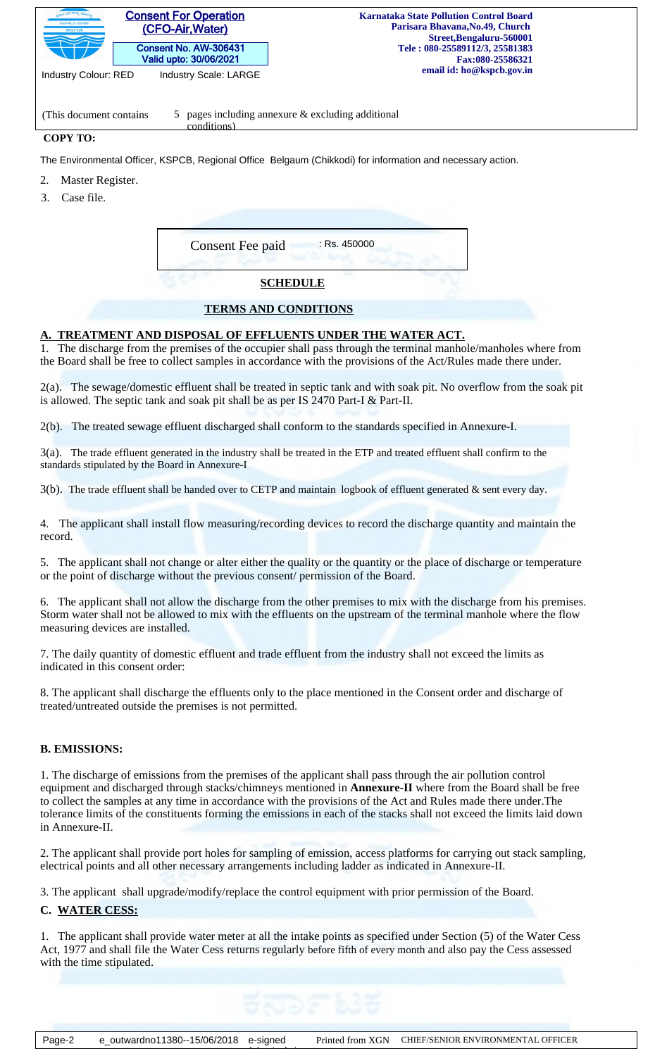| <b>Consent For Operation</b><br>್ಲ್ ಟಕ ರಾಜ್ಯ ಮ್ಯಾ.<br>ನಿಯಂತೃಣ ಮಂಡಳಿ<br>(CFO-Air, Water)<br>ಕರ್ನಾಟಕ<br>Consent No. AW-306431<br>Valid upto: 30/06/2021<br><b>Industry Colour: RED</b><br><b>Industry Scale: LARGE</b> | <b>Karnataka State Pollution Control Board</b><br>Parisara Bhavana, No. 49, Church<br>Street, Bengaluru-560001<br>Tele: 080-25589112/3, 25581383<br>Fax:080-25586321<br>email id: ho@kspcb.gov.in |  |  |  |  |  |
|----------------------------------------------------------------------------------------------------------------------------------------------------------------------------------------------------------------------|---------------------------------------------------------------------------------------------------------------------------------------------------------------------------------------------------|--|--|--|--|--|
| 5 pages including annexure $\&$ excluding additional<br>(This document contains)<br>conditions)                                                                                                                      |                                                                                                                                                                                                   |  |  |  |  |  |
| <b>COPY TO:</b>                                                                                                                                                                                                      |                                                                                                                                                                                                   |  |  |  |  |  |
|                                                                                                                                                                                                                      | The Environmental Officer, KSPCB, Regional Office Belgaum (Chikkodi) for information and necessary action.                                                                                        |  |  |  |  |  |
| Master Register.                                                                                                                                                                                                     |                                                                                                                                                                                                   |  |  |  |  |  |
| Case file.                                                                                                                                                                                                           |                                                                                                                                                                                                   |  |  |  |  |  |

| $:$ Rs. 450000<br>Consent Fee paid |  |
|------------------------------------|--|
| <b>SCHEDULE</b>                    |  |

#### **TERMS AND CONDITIONS**

## **A. TREATMENT AND DISPOSAL OF EFFLUENTS UNDER THE WATER ACT.**

1. The discharge from the premises of the occupier shall pass through the terminal manhole/manholes where from the Board shall be free to collect samples in accordance with the provisions of the Act/Rules made there under.

2(a). The sewage/domestic effluent shall be treated in septic tank and with soak pit. No overflow from the soak pit is allowed. The septic tank and soak pit shall be as per IS 2470 Part-I & Part-II.

2(b). The treated sewage effluent discharged shall conform to the standards specified in Annexure-I.

3(a). The trade effluent generated in the industry shall be treated in the ETP and treated effluent shall confirm to the standards stipulated by the Board in Annexure-I

3(b). The trade effluent shall be handed over to CETP and maintain logbook of effluent generated & sent every day.

4. The applicant shall install flow measuring/recording devices to record the discharge quantity and maintain the record.

5. The applicant shall not change or alter either the quality or the quantity or the place of discharge or temperature or the point of discharge without the previous consent/ permission of the Board.

6. The applicant shall not allow the discharge from the other premises to mix with the discharge from his premises. Storm water shall not be allowed to mix with the effluents on the upstream of the terminal manhole where the flow measuring devices are installed.

7. The daily quantity of domestic effluent and trade effluent from the industry shall not exceed the limits as indicated in this consent order:

8. The applicant shall discharge the effluents only to the place mentioned in the Consent order and discharge of treated/untreated outside the premises is not permitted.

## **B. EMISSIONS:**

1. The discharge of emissions from the premises of the applicant shall pass through the air pollution control equipment and discharged through stacks/chimneys mentioned in **Annexure-II** where from the Board shall be free to collect the samples at any time in accordance with the provisions of the Act and Rules made there under.The tolerance limits of the constituents forming the emissions in each of the stacks shall not exceed the limits laid down in Annexure-II.

2. The applicant shall provide port holes for sampling of emission, access platforms for carrying out stack sampling, electrical points and all other necessary arrangements including ladder as indicated in Annexure-II.

3. The applicant shall upgrade/modify/replace the control equipment with prior permission of the Board.

## **C. WATER CESS:**

1. The applicant shall provide water meter at all the intake points as specified under Section (5) of the Water Cess Act, 1977 and shall file the Water Cess returns regularly before fifth of every month and also pay the Cess assessed with the time stipulated.

 $\overbrace{\phantom{a}}$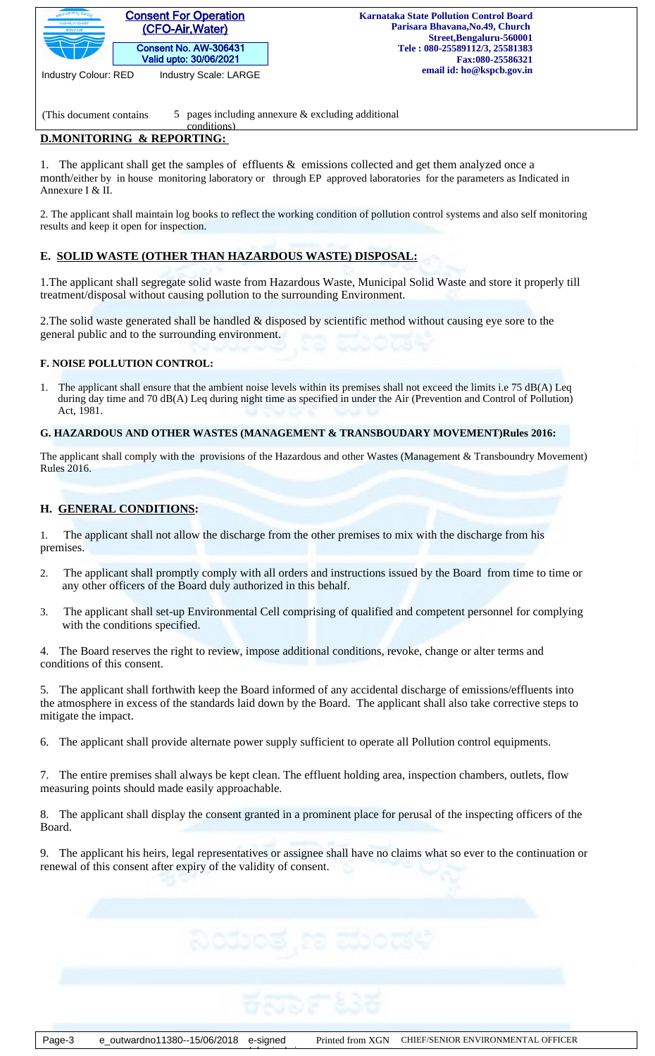

Industry Colour: RED Industry Scale: LARGE

(This document contains  $\qquad 5 \quad$  pages including annexure & excluding additional

#### **D.MONITORING & REPORTING:**  conditions)

1. The applicant shall get the samples of effluents & emissions collected and get them analyzed once a month/either by in house monitoring laboratory or through EP approved laboratories for the parameters as Indicated in Annexure I & II.

2. The applicant shall maintain log books to reflect the working condition of pollution control systems and also self monitoring results and keep it open for inspection.

# **E. SOLID WASTE (OTHER THAN HAZARDOUS WASTE) DISPOSAL:**

1.The applicant shall segregate solid waste from Hazardous Waste, Municipal Solid Waste and store it properly till treatment/disposal without causing pollution to the surrounding Environment.

2.The solid waste generated shall be handled & disposed by scientific method without causing eye sore to the general public and to the surrounding environment.

# **F. NOISE POLLUTION CONTROL:**

1. The applicant shall ensure that the ambient noise levels within its premises shall not exceed the limits i.e 75 dB(A) Leq during day time and 70 dB(A) Leq during night time as specified in under the Air (Prevention and Control of Pollution) Act, 1981.

## **G. HAZARDOUS AND OTHER WASTES (MANAGEMENT & TRANSBOUDARY MOVEMENT)Rules 2016:**

The applicant shall comply with the provisions of the Hazardous and other Wastes (Management & Transboundry Movement) Rules 2016.

# **H. GENERAL CONDITIONS:**

1*.* The applicant shall not allow the discharge from the other premises to mix with the discharge from his premises.

- 2. The applicant shall promptly comply with all orders and instructions issued by the Board from time to time or any other officers of the Board duly authorized in this behalf.
- 3. The applicant shall set-up Environmental Cell comprising of qualified and competent personnel for complying with the conditions specified.

4. The Board reserves the right to review, impose additional conditions, revoke, change or alter terms and conditions of this consent.

5. The applicant shall forthwith keep the Board informed of any accidental discharge of emissions/effluents into the atmosphere in excess of the standards laid down by the Board. The applicant shall also take corrective steps to mitigate the impact.

6. The applicant shall provide alternate power supply sufficient to operate all Pollution control equipments.

7. The entire premises shall always be kept clean. The effluent holding area, inspection chambers, outlets, flow measuring points should made easily approachable.

8. The applicant shall display the consent granted in a prominent place for perusal of the inspecting officers of the Board.

9. The applicant his heirs, legal representatives or assignee shall have no claims what so ever to the continuation or renewal of this consent after expiry of the validity of consent.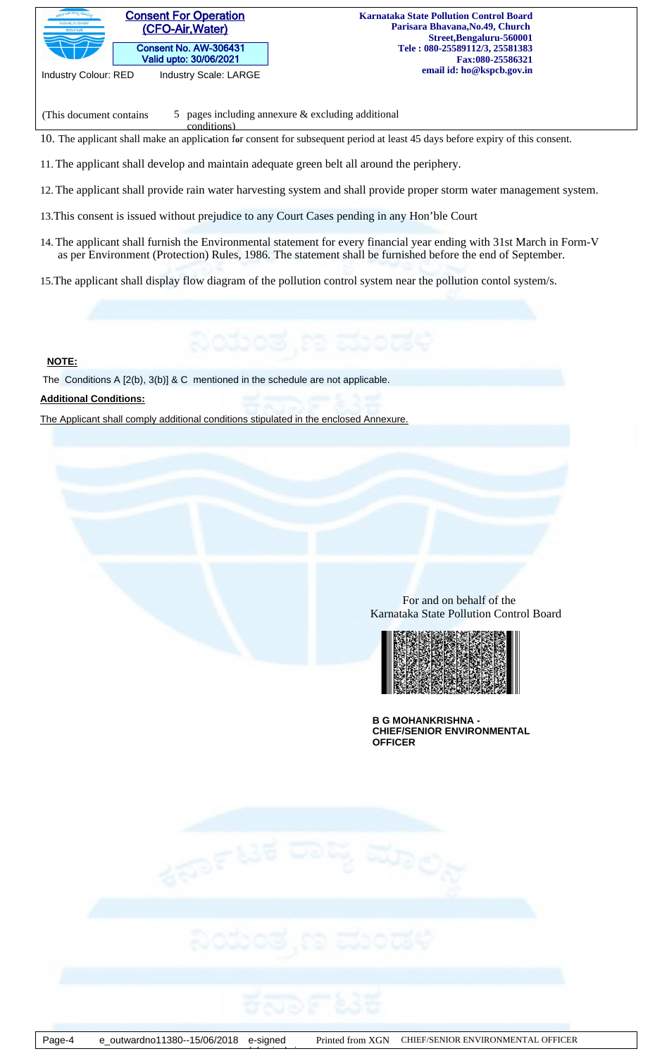

(This document contains  $\qquad 5 \quad$  pages including annexure & excluding additional

10. The applicant shall make an applic**a**tion f**o**r consent for subsequent period at least 45 days before expiry of this consent.

11.The applicant shall develop and maintain adequate green belt all around the periphery.

conditions)

12.The applicant shall provide rain water harvesting system and shall provide proper storm water management system.

13.This consent is issued without prejudice to any Court Cases pending in any Hon'ble Court

14.The applicant shall furnish the Environmental statement for every financial year ending with 31st March in Form-V as per Environment (Protection) Rules, 1986. The statement shall be furnished before the end of September.

15.The applicant shall display flow diagram of the pollution control system near the pollution contol system/s.

# **NOTE:**

The Conditions A [2(b), 3(b)] & C mentioned in the schedule are not applicable.

## **Additional Conditions:**

The Applicant shall comply additional conditions stipulated in the enclosed Annexure.

 For and on behalf of the Karnataka State Pollution Control Board



**B G MOHANKRISHNA - CHIEF/SENIOR ENVIRONMENTAL OFFICER**